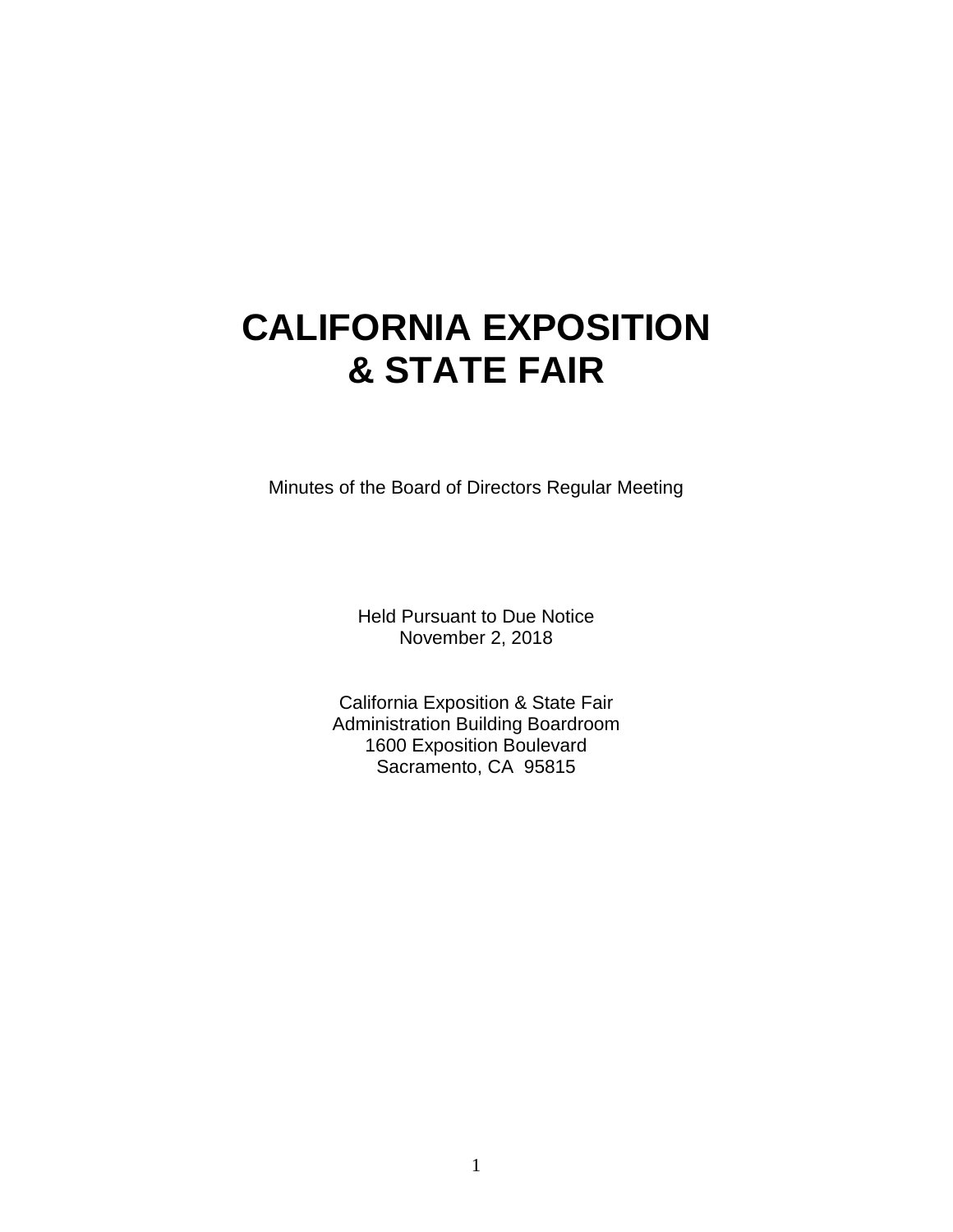# **CALIFORNIA EXPOSITION & STATE FAIR**

Minutes of the Board of Directors Regular Meeting

Held Pursuant to Due Notice November 2, 2018

California Exposition & State Fair Administration Building Boardroom 1600 Exposition Boulevard Sacramento, CA 95815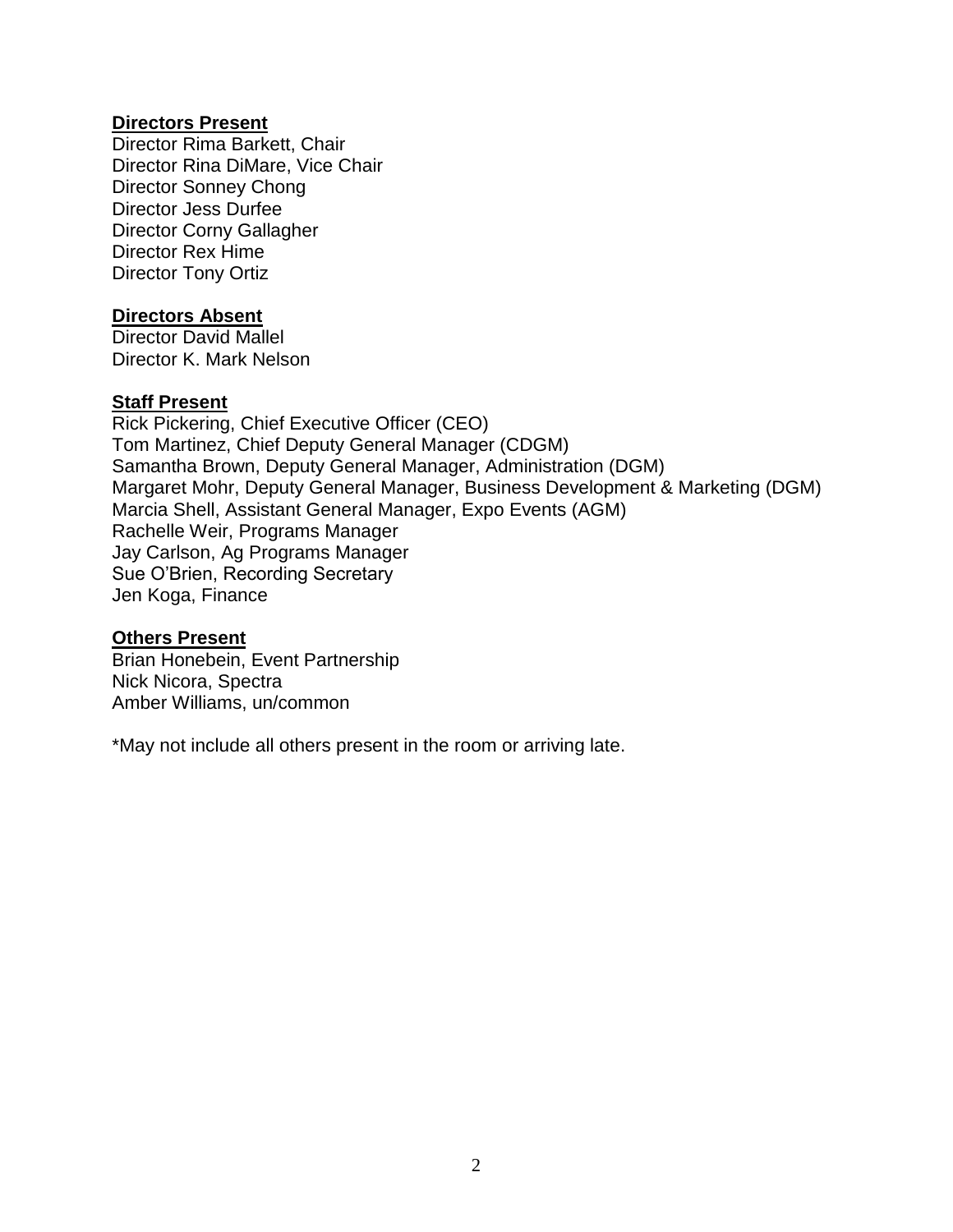#### **Directors Present**

Director Rima Barkett, Chair Director Rina DiMare, Vice Chair Director Sonney Chong Director Jess Durfee Director Corny Gallagher Director Rex Hime Director Tony Ortiz

#### **Directors Absent**

Director David Mallel Director K. Mark Nelson

#### **Staff Present**

Rick Pickering, Chief Executive Officer (CEO) Tom Martinez, Chief Deputy General Manager (CDGM) Samantha Brown, Deputy General Manager, Administration (DGM) Margaret Mohr, Deputy General Manager, Business Development & Marketing (DGM) Marcia Shell, Assistant General Manager, Expo Events (AGM) Rachelle Weir, Programs Manager Jay Carlson, Ag Programs Manager Sue O'Brien, Recording Secretary Jen Koga, Finance

#### **Others Present**

Brian Honebein, Event Partnership Nick Nicora, Spectra Amber Williams, un/common

\*May not include all others present in the room or arriving late.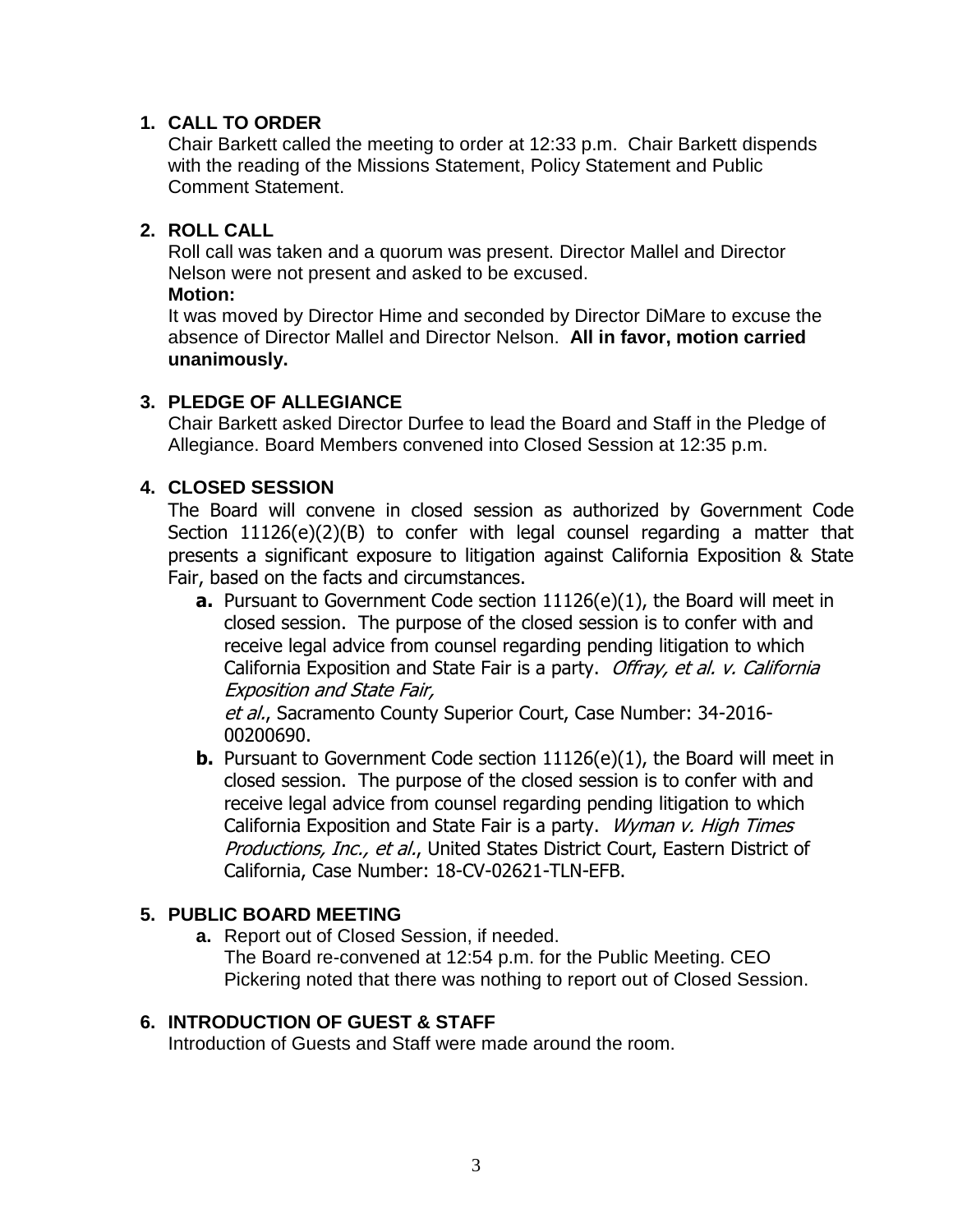#### **1. CALL TO ORDER**

Chair Barkett called the meeting to order at 12:33 p.m. Chair Barkett dispends with the reading of the Missions Statement, Policy Statement and Public Comment Statement.

#### **2. ROLL CALL**

Roll call was taken and a quorum was present. Director Mallel and Director Nelson were not present and asked to be excused.

#### **Motion:**

It was moved by Director Hime and seconded by Director DiMare to excuse the absence of Director Mallel and Director Nelson. **All in favor, motion carried unanimously.**

# **3. PLEDGE OF ALLEGIANCE**

Chair Barkett asked Director Durfee to lead the Board and Staff in the Pledge of Allegiance. Board Members convened into Closed Session at 12:35 p.m.

# **4. CLOSED SESSION**

The Board will convene in closed session as authorized by Government Code Section 11126(e)(2)(B) to confer with legal counsel regarding a matter that presents a significant exposure to litigation against California Exposition & State Fair, based on the facts and circumstances.

**a.** Pursuant to Government Code section 11126(e)(1), the Board will meet in closed session. The purpose of the closed session is to confer with and receive legal advice from counsel regarding pending litigation to which California Exposition and State Fair is a party. Offray, et al. v. California Exposition and State Fair,

et al., Sacramento County Superior Court, Case Number: 34-2016-00200690.

**b.** Pursuant to Government Code section 11126(e)(1), the Board will meet in closed session. The purpose of the closed session is to confer with and receive legal advice from counsel regarding pending litigation to which California Exposition and State Fair is a party. Wyman v. High Times Productions, Inc., et al., United States District Court, Eastern District of California, Case Number: 18-CV-02621-TLN-EFB.

# **5. PUBLIC BOARD MEETING**

**a.** Report out of Closed Session, if needed. The Board re-convened at 12:54 p.m. for the Public Meeting. CEO Pickering noted that there was nothing to report out of Closed Session.

# **6. INTRODUCTION OF GUEST & STAFF**

Introduction of Guests and Staff were made around the room.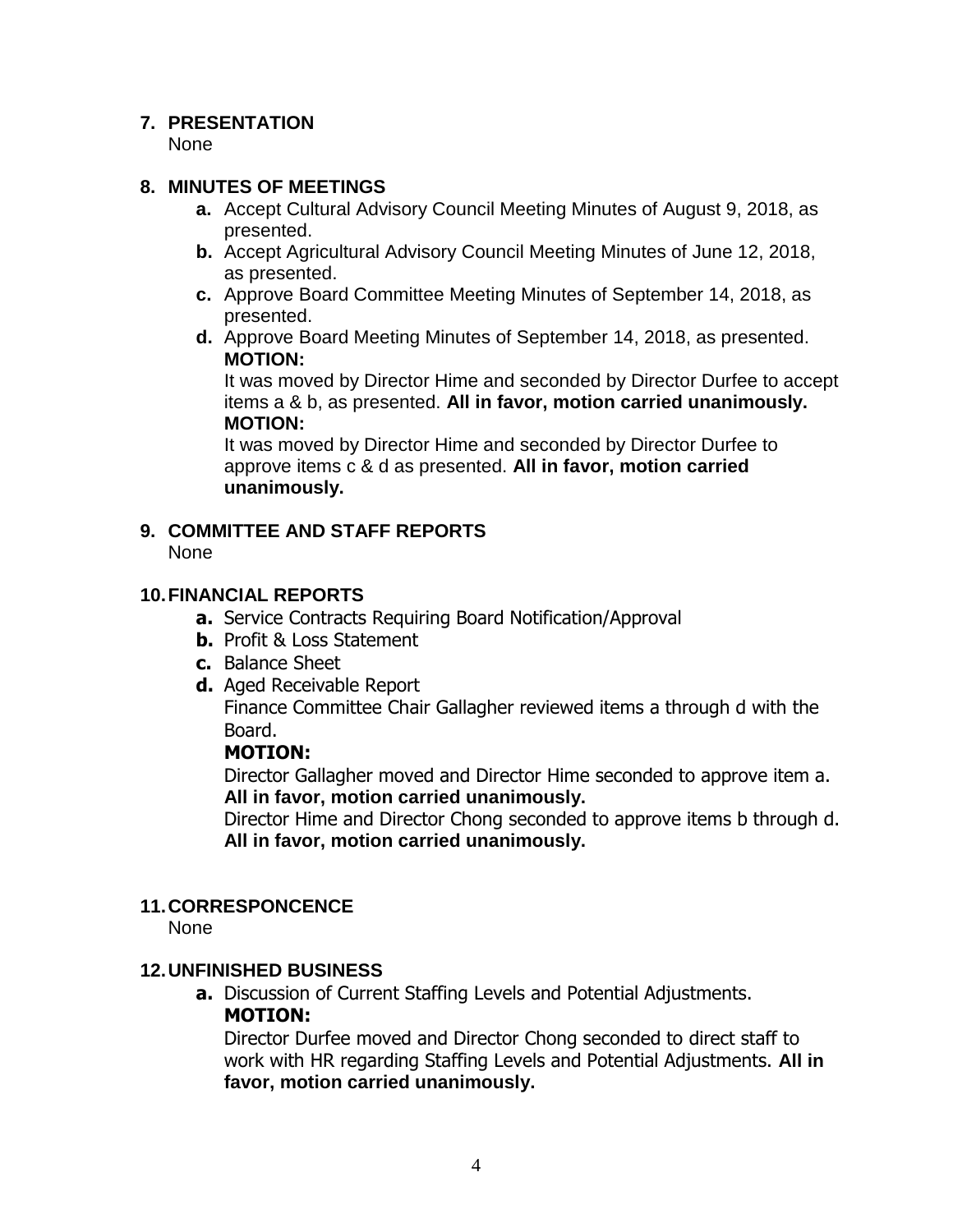#### **7. PRESENTATION**

None

#### **8. MINUTES OF MEETINGS**

- **a.** Accept Cultural Advisory Council Meeting Minutes of August 9, 2018, as presented.
- **b.** Accept Agricultural Advisory Council Meeting Minutes of June 12, 2018, as presented.
- **c.** Approve Board Committee Meeting Minutes of September 14, 2018, as presented.
- **d.** Approve Board Meeting Minutes of September 14, 2018, as presented. **MOTION:**

It was moved by Director Hime and seconded by Director Durfee to accept items a & b, as presented. **All in favor, motion carried unanimously. MOTION:**

It was moved by Director Hime and seconded by Director Durfee to approve items c & d as presented. **All in favor, motion carried unanimously.**

# **9. COMMITTEE AND STAFF REPORTS**

None

#### **10.FINANCIAL REPORTS**

- **a.** Service Contracts Requiring Board Notification/Approval
- **b.** Profit & Loss Statement
- **c.** Balance Sheet
- **d.** Aged Receivable Report

Finance Committee Chair Gallagher reviewed items a through d with the Board.

# **MOTION:**

Director Gallagher moved and Director Hime seconded to approve item a. **All in favor, motion carried unanimously.**

Director Hime and Director Chong seconded to approve items b through d. **All in favor, motion carried unanimously.**

# **11.CORRESPONCENCE**

None

# **12.UNFINISHED BUSINESS**

**a.** Discussion of Current Staffing Levels and Potential Adjustments. **MOTION:**

Director Durfee moved and Director Chong seconded to direct staff to work with HR regarding Staffing Levels and Potential Adjustments. **All in favor, motion carried unanimously.**